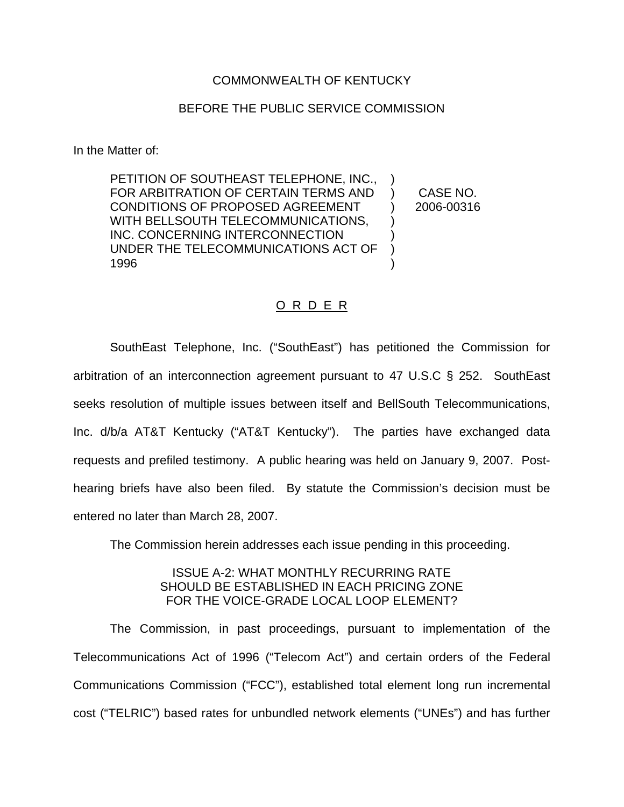### COMMONWEALTH OF KENTUCKY

#### BEFORE THE PUBLIC SERVICE COMMISSION

In the Matter of:

PETITION OF SOUTHEAST TELEPHONE, INC., FOR ARBITRATION OF CERTAIN TERMS AND CONDITIONS OF PROPOSED AGREEMENT WITH BELLSOUTH TELECOMMUNICATIONS, INC. CONCERNING INTERCONNECTION UNDER THE TELECOMMUNICATIONS ACT OF 1996 ) ) CASE NO. ) 2006-00316 ) ) ) )

# O R D E R

SouthEast Telephone, Inc. ("SouthEast") has petitioned the Commission for arbitration of an interconnection agreement pursuant to 47 U.S.C § 252. SouthEast seeks resolution of multiple issues between itself and BellSouth Telecommunications, Inc. d/b/a AT&T Kentucky ("AT&T Kentucky"). The parties have exchanged data requests and prefiled testimony. A public hearing was held on January 9, 2007. Posthearing briefs have also been filed. By statute the Commission's decision must be entered no later than March 28, 2007.

The Commission herein addresses each issue pending in this proceeding.

# ISSUE A-2: WHAT MONTHLY RECURRING RATE SHOULD BE ESTABLISHED IN EACH PRICING ZONE FOR THE VOICE-GRADE LOCAL LOOP ELEMENT?

The Commission, in past proceedings, pursuant to implementation of the Telecommunications Act of 1996 ("Telecom Act") and certain orders of the Federal Communications Commission ("FCC"), established total element long run incremental cost ("TELRIC") based rates for unbundled network elements ("UNEs") and has further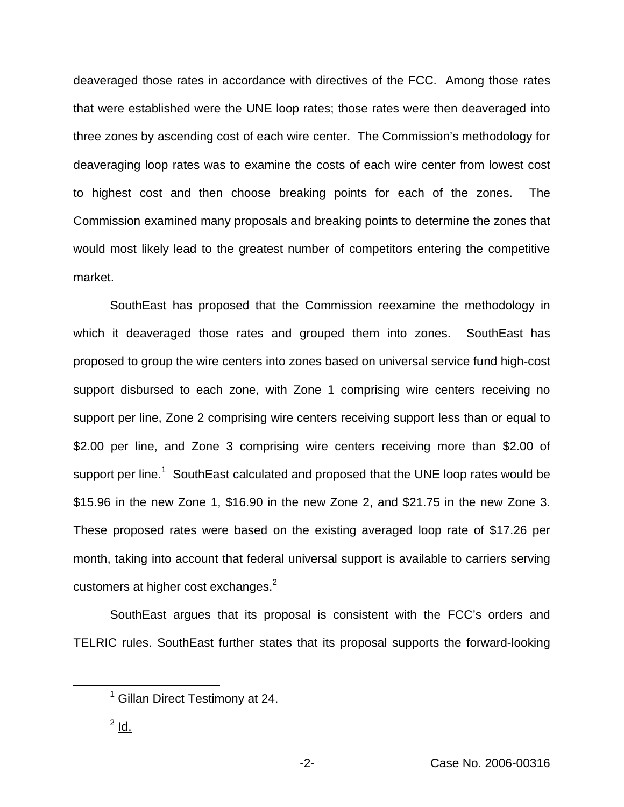deaveraged those rates in accordance with directives of the FCC. Among those rates that were established were the UNE loop rates; those rates were then deaveraged into three zones by ascending cost of each wire center. The Commission's methodology for deaveraging loop rates was to examine the costs of each wire center from lowest cost to highest cost and then choose breaking points for each of the zones. The Commission examined many proposals and breaking points to determine the zones that would most likely lead to the greatest number of competitors entering the competitive market.

SouthEast has proposed that the Commission reexamine the methodology in which it deaveraged those rates and grouped them into zones. SouthEast has proposed to group the wire centers into zones based on universal service fund high-cost support disbursed to each zone, with Zone 1 comprising wire centers receiving no support per line, Zone 2 comprising wire centers receiving support less than or equal to \$2.00 per line, and Zone 3 comprising wire centers receiving more than \$2.00 of support per line.<sup>1</sup> SouthEast calculated and proposed that the UNE loop rates would be \$15.96 in the new Zone 1, \$16.90 in the new Zone 2, and \$21.75 in the new Zone 3. These proposed rates were based on the existing averaged loop rate of \$17.26 per month, taking into account that federal universal support is available to carriers serving customers at higher cost exchanges.<sup>2</sup>

SouthEast argues that its proposal is consistent with the FCC's orders and TELRIC rules. SouthEast further states that its proposal supports the forward-looking

<sup>&</sup>lt;sup>1</sup> Gillan Direct Testimony at 24.

 $2$  Id.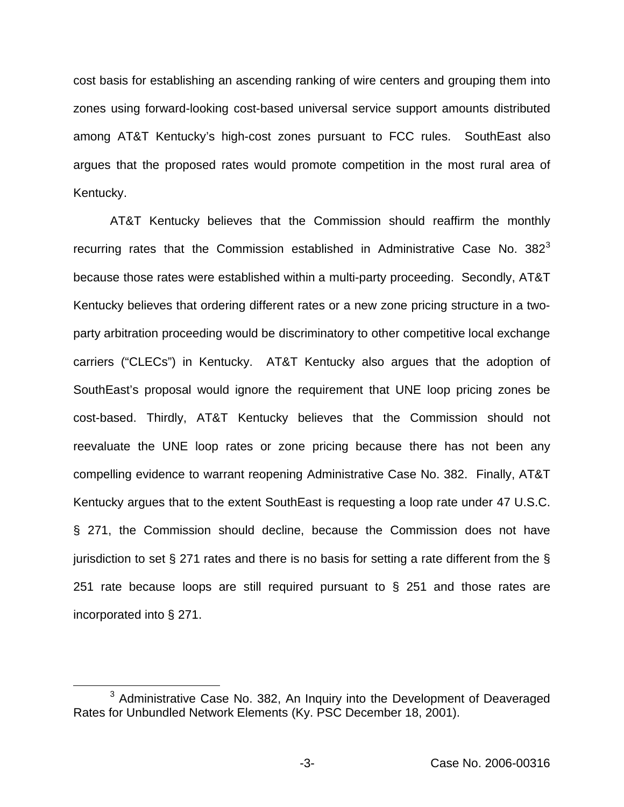cost basis for establishing an ascending ranking of wire centers and grouping them into zones using forward-looking cost-based universal service support amounts distributed among AT&T Kentucky's high-cost zones pursuant to FCC rules. SouthEast also argues that the proposed rates would promote competition in the most rural area of Kentucky.

AT&T Kentucky believes that the Commission should reaffirm the monthly recurring rates that the Commission established in Administrative Case No.  $382<sup>3</sup>$ because those rates were established within a multi-party proceeding. Secondly, AT&T Kentucky believes that ordering different rates or a new zone pricing structure in a twoparty arbitration proceeding would be discriminatory to other competitive local exchange carriers ("CLECs") in Kentucky. AT&T Kentucky also argues that the adoption of SouthEast's proposal would ignore the requirement that UNE loop pricing zones be cost-based. Thirdly, AT&T Kentucky believes that the Commission should not reevaluate the UNE loop rates or zone pricing because there has not been any compelling evidence to warrant reopening Administrative Case No. 382. Finally, AT&T Kentucky argues that to the extent SouthEast is requesting a loop rate under 47 U.S.C. § 271, the Commission should decline, because the Commission does not have jurisdiction to set  $\S 271$  rates and there is no basis for setting a rate different from the  $\S$ 251 rate because loops are still required pursuant to § 251 and those rates are incorporated into § 271.

<sup>&</sup>lt;sup>3</sup> Administrative Case No. 382, An Inquiry into the Development of Deaveraged Rates for Unbundled Network Elements (Ky. PSC December 18, 2001).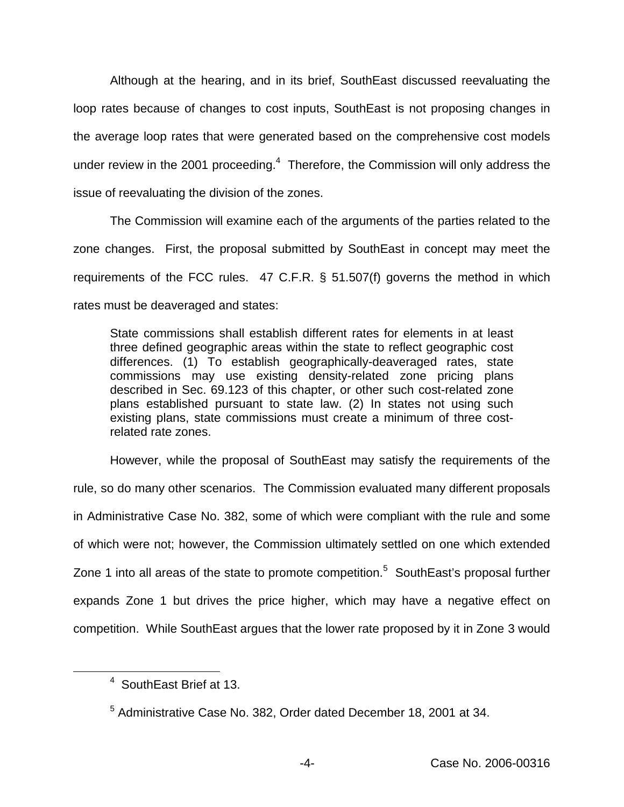Although at the hearing, and in its brief, SouthEast discussed reevaluating the loop rates because of changes to cost inputs, SouthEast is not proposing changes in the average loop rates that were generated based on the comprehensive cost models under review in the 2001 proceeding.<sup>4</sup> Therefore, the Commission will only address the issue of reevaluating the division of the zones.

The Commission will examine each of the arguments of the parties related to the zone changes. First, the proposal submitted by SouthEast in concept may meet the requirements of the FCC rules. 47 C.F.R. § 51.507(f) governs the method in which rates must be deaveraged and states:

State commissions shall establish different rates for elements in at least three defined geographic areas within the state to reflect geographic cost differences. (1) To establish geographically-deaveraged rates, state commissions may use existing density-related zone pricing plans described in Sec. 69.123 of this chapter, or other such cost-related zone plans established pursuant to state law. (2) In states not using such existing plans, state commissions must create a minimum of three costrelated rate zones.

However, while the proposal of SouthEast may satisfy the requirements of the rule, so do many other scenarios. The Commission evaluated many different proposals in Administrative Case No. 382, some of which were compliant with the rule and some of which were not; however, the Commission ultimately settled on one which extended Zone 1 into all areas of the state to promote competition.<sup>5</sup> SouthEast's proposal further expands Zone 1 but drives the price higher, which may have a negative effect on competition. While SouthEast argues that the lower rate proposed by it in Zone 3 would

<sup>4</sup> SouthEast Brief at 13.

<sup>5</sup> Administrative Case No. 382, Order dated December 18, 2001 at 34.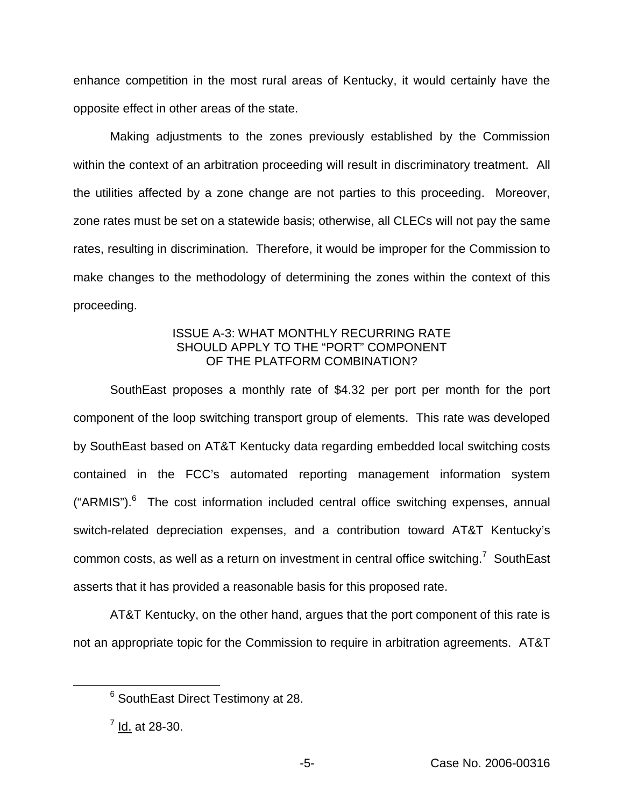enhance competition in the most rural areas of Kentucky, it would certainly have the opposite effect in other areas of the state.

Making adjustments to the zones previously established by the Commission within the context of an arbitration proceeding will result in discriminatory treatment. All the utilities affected by a zone change are not parties to this proceeding. Moreover, zone rates must be set on a statewide basis; otherwise, all CLECs will not pay the same rates, resulting in discrimination. Therefore, it would be improper for the Commission to make changes to the methodology of determining the zones within the context of this proceeding.

# ISSUE A-3: WHAT MONTHLY RECURRING RATE SHOULD APPLY TO THE "PORT" COMPONENT OF THE PLATFORM COMBINATION?

SouthEast proposes a monthly rate of \$4.32 per port per month for the port component of the loop switching transport group of elements. This rate was developed by SouthEast based on AT&T Kentucky data regarding embedded local switching costs contained in the FCC's automated reporting management information system  $("ARMIS")$ .<sup>6</sup> The cost information included central office switching expenses, annual switch-related depreciation expenses, and a contribution toward AT&T Kentucky's common costs, as well as a return on investment in central office switching.<sup>7</sup> SouthEast asserts that it has provided a reasonable basis for this proposed rate.

AT&T Kentucky, on the other hand, argues that the port component of this rate is not an appropriate topic for the Commission to require in arbitration agreements. AT&T

<sup>6</sup> SouthEast Direct Testimony at 28.

 $^7$  Id. at 28-30.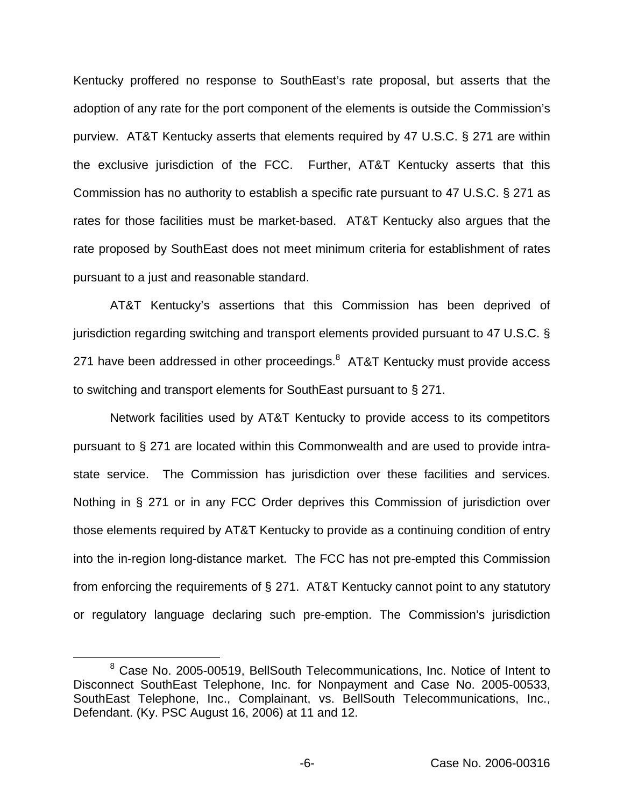Kentucky proffered no response to SouthEast's rate proposal, but asserts that the adoption of any rate for the port component of the elements is outside the Commission's purview. AT&T Kentucky asserts that elements required by 47 U.S.C. § 271 are within the exclusive jurisdiction of the FCC. Further, AT&T Kentucky asserts that this Commission has no authority to establish a specific rate pursuant to 47 U.S.C. § 271 as rates for those facilities must be market-based. AT&T Kentucky also argues that the rate proposed by SouthEast does not meet minimum criteria for establishment of rates pursuant to a just and reasonable standard.

AT&T Kentucky's assertions that this Commission has been deprived of jurisdiction regarding switching and transport elements provided pursuant to 47 U.S.C. § 271 have been addressed in other proceedings.<sup>8</sup> AT&T Kentucky must provide access to switching and transport elements for SouthEast pursuant to § 271.

Network facilities used by AT&T Kentucky to provide access to its competitors pursuant to § 271 are located within this Commonwealth and are used to provide intrastate service. The Commission has jurisdiction over these facilities and services. Nothing in § 271 or in any FCC Order deprives this Commission of jurisdiction over those elements required by AT&T Kentucky to provide as a continuing condition of entry into the in-region long-distance market. The FCC has not pre-empted this Commission from enforcing the requirements of § 271. AT&T Kentucky cannot point to any statutory or regulatory language declaring such pre-emption. The Commission's jurisdiction

<sup>8</sup> Case No. 2005-00519, BellSouth Telecommunications, Inc. Notice of Intent to Disconnect SouthEast Telephone, Inc. for Nonpayment and Case No. 2005-00533, SouthEast Telephone, Inc., Complainant, vs. BellSouth Telecommunications, Inc., Defendant. (Ky. PSC August 16, 2006) at 11 and 12.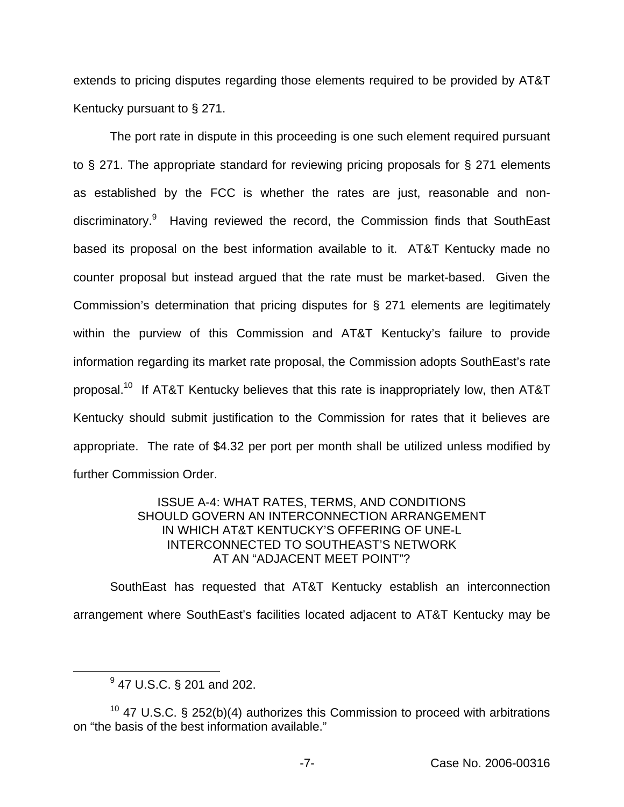extends to pricing disputes regarding those elements required to be provided by AT&T Kentucky pursuant to § 271.

The port rate in dispute in this proceeding is one such element required pursuant to § 271. The appropriate standard for reviewing pricing proposals for § 271 elements as established by the FCC is whether the rates are just, reasonable and nondiscriminatory.<sup>9</sup> Having reviewed the record, the Commission finds that SouthEast based its proposal on the best information available to it. AT&T Kentucky made no counter proposal but instead argued that the rate must be market-based. Given the Commission's determination that pricing disputes for § 271 elements are legitimately within the purview of this Commission and AT&T Kentucky's failure to provide information regarding its market rate proposal, the Commission adopts SouthEast's rate proposal.10 If AT&T Kentucky believes that this rate is inappropriately low, then AT&T Kentucky should submit justification to the Commission for rates that it believes are appropriate. The rate of \$4.32 per port per month shall be utilized unless modified by further Commission Order.

## ISSUE A-4: WHAT RATES, TERMS, AND CONDITIONS SHOULD GOVERN AN INTERCONNECTION ARRANGEMENT IN WHICH AT&T KENTUCKY'S OFFERING OF UNE-L INTERCONNECTED TO SOUTHEAST'S NETWORK AT AN "ADJACENT MEET POINT"?

SouthEast has requested that AT&T Kentucky establish an interconnection arrangement where SouthEast's facilities located adjacent to AT&T Kentucky may be

<sup>9</sup> 47 U.S.C. § 201 and 202.

<sup>&</sup>lt;sup>10</sup> 47 U.S.C. § 252(b)(4) authorizes this Commission to proceed with arbitrations on "the basis of the best information available."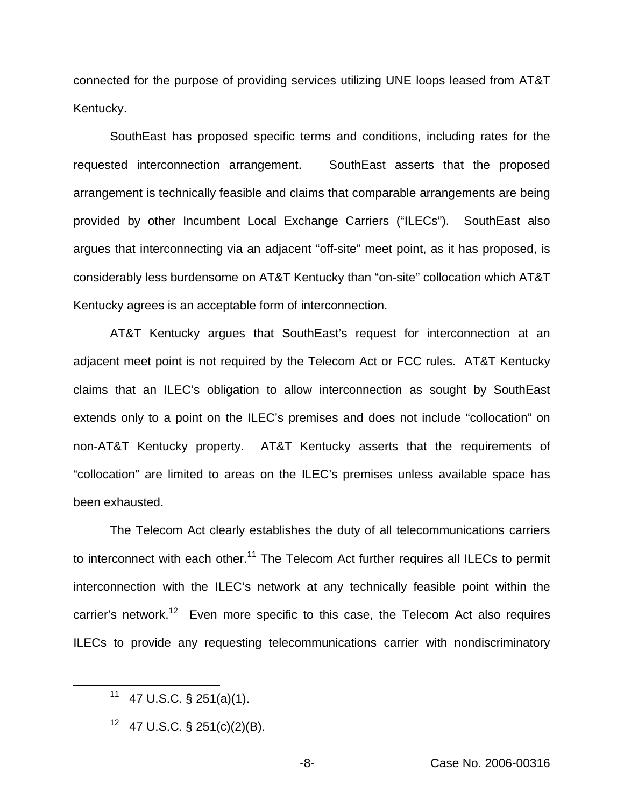connected for the purpose of providing services utilizing UNE loops leased from AT&T Kentucky.

SouthEast has proposed specific terms and conditions, including rates for the requested interconnection arrangement. SouthEast asserts that the proposed arrangement is technically feasible and claims that comparable arrangements are being provided by other Incumbent Local Exchange Carriers ("ILECs"). SouthEast also argues that interconnecting via an adjacent "off-site" meet point, as it has proposed, is considerably less burdensome on AT&T Kentucky than "on-site" collocation which AT&T Kentucky agrees is an acceptable form of interconnection.

AT&T Kentucky argues that SouthEast's request for interconnection at an adjacent meet point is not required by the Telecom Act or FCC rules. AT&T Kentucky claims that an ILEC's obligation to allow interconnection as sought by SouthEast extends only to a point on the ILEC's premises and does not include "collocation" on non-AT&T Kentucky property. AT&T Kentucky asserts that the requirements of "collocation" are limited to areas on the ILEC's premises unless available space has been exhausted.

The Telecom Act clearly establishes the duty of all telecommunications carriers to interconnect with each other.<sup>11</sup> The Telecom Act further requires all ILECs to permit interconnection with the ILEC's network at any technically feasible point within the carrier's network.<sup>12</sup> Even more specific to this case, the Telecom Act also requires ILECs to provide any requesting telecommunications carrier with nondiscriminatory

<sup>11 47</sup> U.S.C.  $\S$  251(a)(1).

 $12$  47 U.S.C. § 251(c)(2)(B).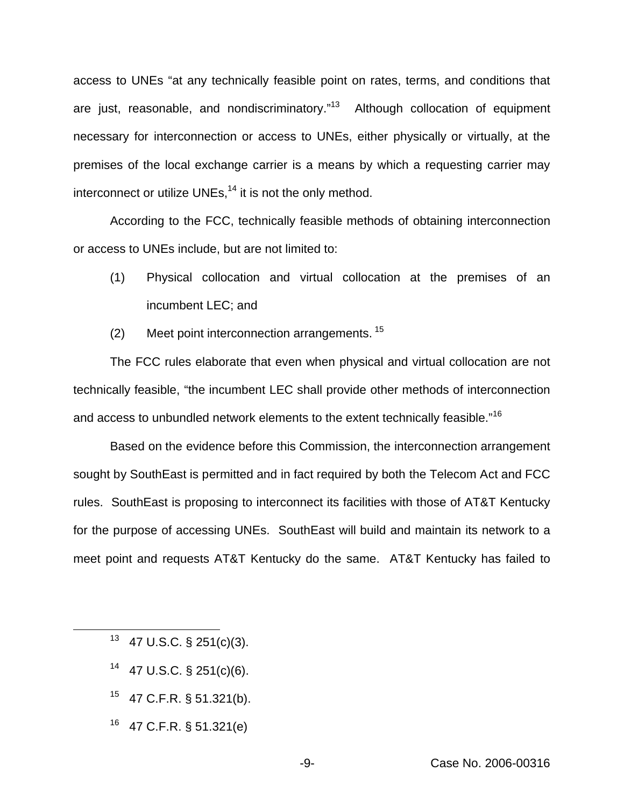access to UNEs "at any technically feasible point on rates, terms, and conditions that are just, reasonable, and nondiscriminatory."<sup>13</sup> Although collocation of equipment necessary for interconnection or access to UNEs, either physically or virtually, at the premises of the local exchange carrier is a means by which a requesting carrier may interconnect or utilize UNEs, $<sup>14</sup>$  it is not the only method.</sup>

According to the FCC, technically feasible methods of obtaining interconnection or access to UNEs include, but are not limited to:

- (1) Physical collocation and virtual collocation at the premises of an incumbent LEC; and
- (2) Meet point interconnection arrangements. <sup>15</sup>

The FCC rules elaborate that even when physical and virtual collocation are not technically feasible, "the incumbent LEC shall provide other methods of interconnection and access to unbundled network elements to the extent technically feasible."<sup>16</sup>

Based on the evidence before this Commission, the interconnection arrangement sought by SouthEast is permitted and in fact required by both the Telecom Act and FCC rules. SouthEast is proposing to interconnect its facilities with those of AT&T Kentucky for the purpose of accessing UNEs. SouthEast will build and maintain its network to a meet point and requests AT&T Kentucky do the same. AT&T Kentucky has failed to

- $13$  47 U.S.C. § 251(c)(3).
- $14$  47 U.S.C. § 251(c)(6).
- <sup>15</sup> 47 C.F.R. § 51.321(b).
- <sup>16</sup> 47 C.F.R. § 51.321(e)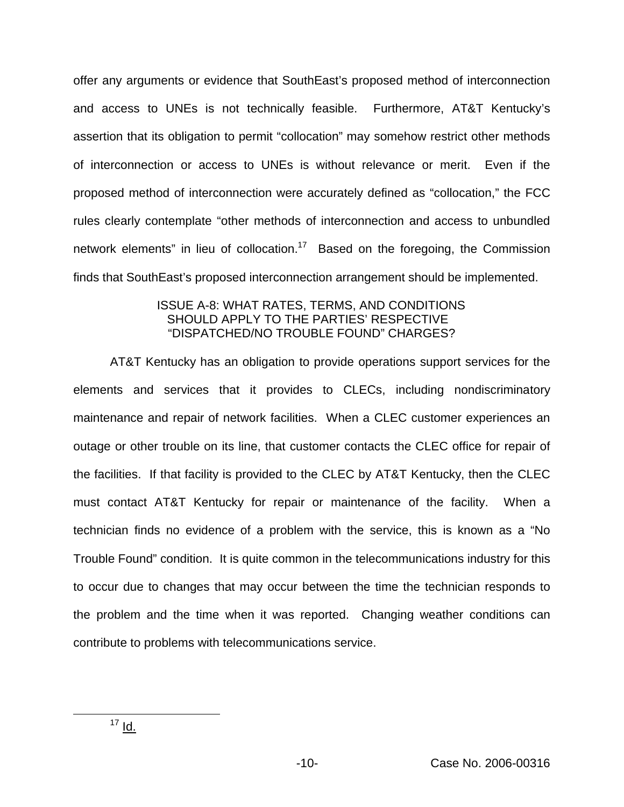offer any arguments or evidence that SouthEast's proposed method of interconnection and access to UNEs is not technically feasible. Furthermore, AT&T Kentucky's assertion that its obligation to permit "collocation" may somehow restrict other methods of interconnection or access to UNEs is without relevance or merit. Even if the proposed method of interconnection were accurately defined as "collocation," the FCC rules clearly contemplate "other methods of interconnection and access to unbundled network elements" in lieu of collocation.<sup>17</sup> Based on the foregoing, the Commission finds that SouthEast's proposed interconnection arrangement should be implemented.

# ISSUE A-8: WHAT RATES, TERMS, AND CONDITIONS SHOULD APPLY TO THE PARTIES' RESPECTIVE "DISPATCHED/NO TROUBLE FOUND" CHARGES?

AT&T Kentucky has an obligation to provide operations support services for the elements and services that it provides to CLECs, including nondiscriminatory maintenance and repair of network facilities. When a CLEC customer experiences an outage or other trouble on its line, that customer contacts the CLEC office for repair of the facilities. If that facility is provided to the CLEC by AT&T Kentucky, then the CLEC must contact AT&T Kentucky for repair or maintenance of the facility. When a technician finds no evidence of a problem with the service, this is known as a "No Trouble Found" condition. It is quite common in the telecommunications industry for this to occur due to changes that may occur between the time the technician responds to the problem and the time when it was reported. Changing weather conditions can contribute to problems with telecommunications service.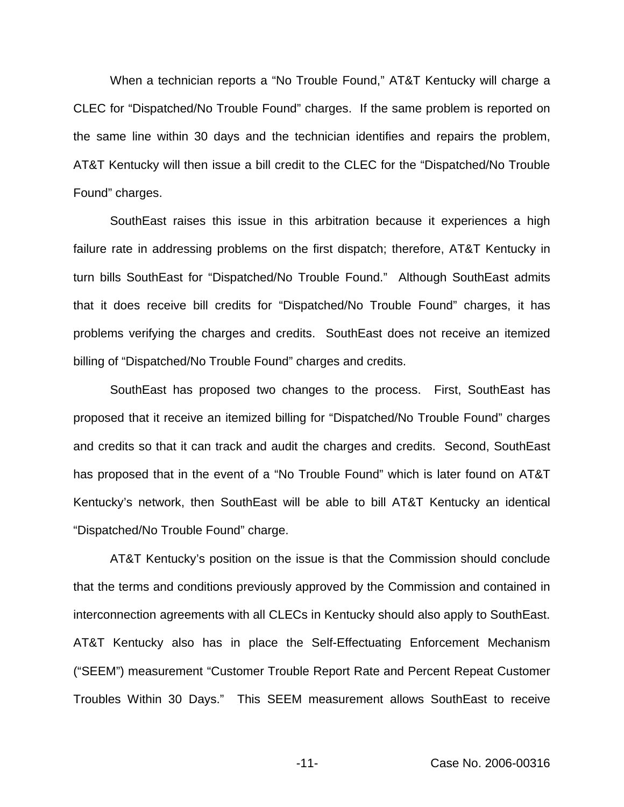When a technician reports a "No Trouble Found," AT&T Kentucky will charge a CLEC for "Dispatched/No Trouble Found" charges. If the same problem is reported on the same line within 30 days and the technician identifies and repairs the problem, AT&T Kentucky will then issue a bill credit to the CLEC for the "Dispatched/No Trouble Found" charges.

SouthEast raises this issue in this arbitration because it experiences a high failure rate in addressing problems on the first dispatch; therefore, AT&T Kentucky in turn bills SouthEast for "Dispatched/No Trouble Found." Although SouthEast admits that it does receive bill credits for "Dispatched/No Trouble Found" charges, it has problems verifying the charges and credits. SouthEast does not receive an itemized billing of "Dispatched/No Trouble Found" charges and credits.

SouthEast has proposed two changes to the process. First, SouthEast has proposed that it receive an itemized billing for "Dispatched/No Trouble Found" charges and credits so that it can track and audit the charges and credits. Second, SouthEast has proposed that in the event of a "No Trouble Found" which is later found on AT&T Kentucky's network, then SouthEast will be able to bill AT&T Kentucky an identical "Dispatched/No Trouble Found" charge.

AT&T Kentucky's position on the issue is that the Commission should conclude that the terms and conditions previously approved by the Commission and contained in interconnection agreements with all CLECs in Kentucky should also apply to SouthEast. AT&T Kentucky also has in place the Self-Effectuating Enforcement Mechanism ("SEEM") measurement "Customer Trouble Report Rate and Percent Repeat Customer Troubles Within 30 Days." This SEEM measurement allows SouthEast to receive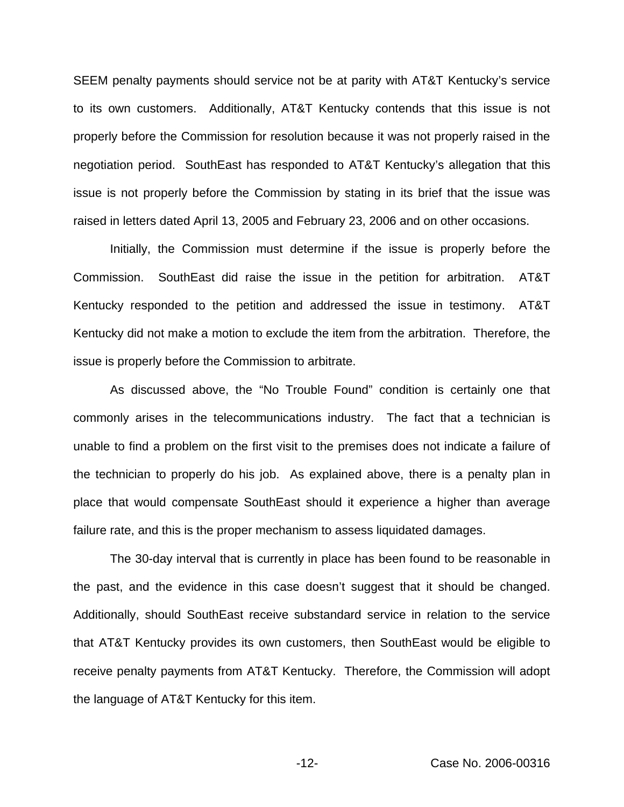SEEM penalty payments should service not be at parity with AT&T Kentucky's service to its own customers. Additionally, AT&T Kentucky contends that this issue is not properly before the Commission for resolution because it was not properly raised in the negotiation period. SouthEast has responded to AT&T Kentucky's allegation that this issue is not properly before the Commission by stating in its brief that the issue was raised in letters dated April 13, 2005 and February 23, 2006 and on other occasions.

Initially, the Commission must determine if the issue is properly before the Commission. SouthEast did raise the issue in the petition for arbitration. AT&T Kentucky responded to the petition and addressed the issue in testimony. AT&T Kentucky did not make a motion to exclude the item from the arbitration. Therefore, the issue is properly before the Commission to arbitrate.

As discussed above, the "No Trouble Found" condition is certainly one that commonly arises in the telecommunications industry. The fact that a technician is unable to find a problem on the first visit to the premises does not indicate a failure of the technician to properly do his job. As explained above, there is a penalty plan in place that would compensate SouthEast should it experience a higher than average failure rate, and this is the proper mechanism to assess liquidated damages.

The 30-day interval that is currently in place has been found to be reasonable in the past, and the evidence in this case doesn't suggest that it should be changed. Additionally, should SouthEast receive substandard service in relation to the service that AT&T Kentucky provides its own customers, then SouthEast would be eligible to receive penalty payments from AT&T Kentucky. Therefore, the Commission will adopt the language of AT&T Kentucky for this item.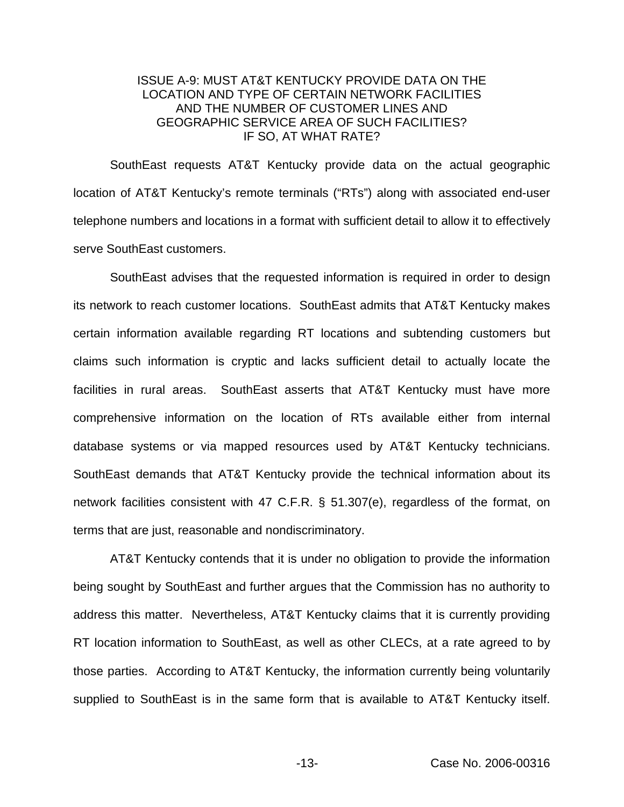# ISSUE A-9: MUST AT&T KENTUCKY PROVIDE DATA ON THE LOCATION AND TYPE OF CERTAIN NETWORK FACILITIES AND THE NUMBER OF CUSTOMER LINES AND GEOGRAPHIC SERVICE AREA OF SUCH FACILITIES? IF SO, AT WHAT RATE?

SouthEast requests AT&T Kentucky provide data on the actual geographic location of AT&T Kentucky's remote terminals ("RTs") along with associated end-user telephone numbers and locations in a format with sufficient detail to allow it to effectively serve SouthEast customers.

SouthEast advises that the requested information is required in order to design its network to reach customer locations. SouthEast admits that AT&T Kentucky makes certain information available regarding RT locations and subtending customers but claims such information is cryptic and lacks sufficient detail to actually locate the facilities in rural areas. SouthEast asserts that AT&T Kentucky must have more comprehensive information on the location of RTs available either from internal database systems or via mapped resources used by AT&T Kentucky technicians. SouthEast demands that AT&T Kentucky provide the technical information about its network facilities consistent with 47 C.F.R. § 51.307(e), regardless of the format, on terms that are just, reasonable and nondiscriminatory.

AT&T Kentucky contends that it is under no obligation to provide the information being sought by SouthEast and further argues that the Commission has no authority to address this matter. Nevertheless, AT&T Kentucky claims that it is currently providing RT location information to SouthEast, as well as other CLECs, at a rate agreed to by those parties. According to AT&T Kentucky, the information currently being voluntarily supplied to SouthEast is in the same form that is available to AT&T Kentucky itself.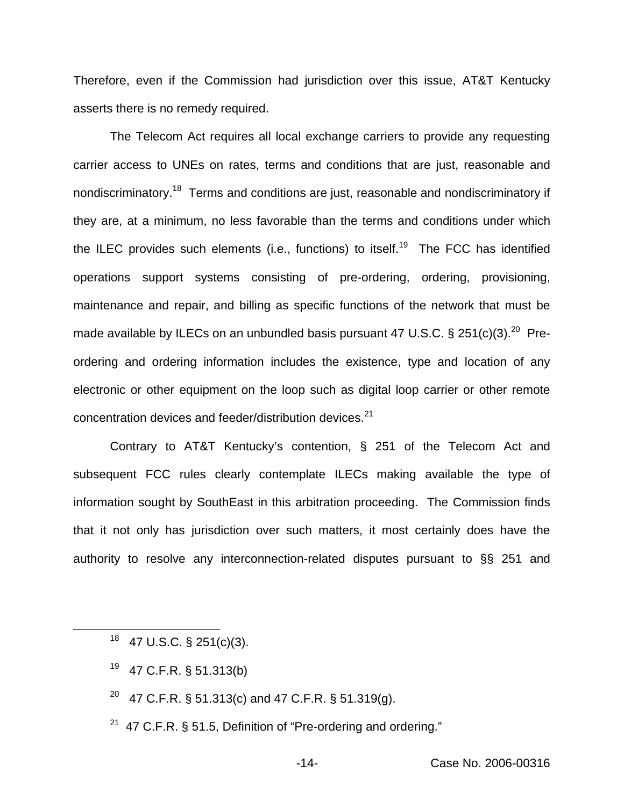Therefore, even if the Commission had jurisdiction over this issue, AT&T Kentucky asserts there is no remedy required.

The Telecom Act requires all local exchange carriers to provide any requesting carrier access to UNEs on rates, terms and conditions that are just, reasonable and nondiscriminatory.18 Terms and conditions are just, reasonable and nondiscriminatory if they are, at a minimum, no less favorable than the terms and conditions under which the ILEC provides such elements (i.e., functions) to itself.<sup>19</sup> The FCC has identified operations support systems consisting of pre-ordering, ordering, provisioning, maintenance and repair, and billing as specific functions of the network that must be made available by ILECs on an unbundled basis pursuant 47 U.S.C. § 251(c)(3).<sup>20</sup> Preordering and ordering information includes the existence, type and location of any electronic or other equipment on the loop such as digital loop carrier or other remote concentration devices and feeder/distribution devices.<sup>21</sup>

Contrary to AT&T Kentucky's contention, § 251 of the Telecom Act and subsequent FCC rules clearly contemplate ILECs making available the type of information sought by SouthEast in this arbitration proceeding. The Commission finds that it not only has jurisdiction over such matters, it most certainly does have the authority to resolve any interconnection-related disputes pursuant to §§ 251 and

- <sup>19</sup> 47 C.F.R. § 51.313(b)
- <sup>20</sup> 47 C.F.R. § 51.313(c) and 47 C.F.R. § 51.319(g).
- <sup>21</sup> 47 C.F.R. § 51.5, Definition of "Pre-ordering and ordering."

 $18$  47 U.S.C. § 251(c)(3).